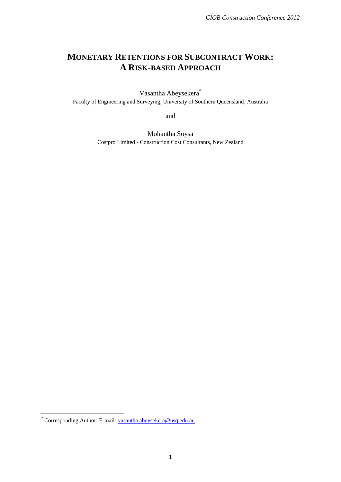# **MONETARY RETENTIONS FOR SUBCONTRACT WORK: A RISK-BASED APPROACH**

Vasantha Abeysekera\* Faculty of Engineering and Surveying, University of Southern Queensland, Australia

and

Mohantha Soysa Costpro Limited - Construction Cost Consultants, New Zealand

<sup>&</sup>lt;u>-</u><br>\* Corresponding Author: E-mail- <u>[vasantha.abeysekera@u](mailto:vasantha.abeysekera@)sq.edu.au</u>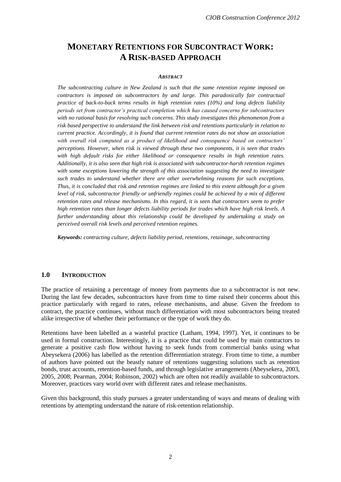# **MONETARY RETENTIONS FOR SUBCONTRACT WORK: A RISK-BASED APPROACH**

#### *ABSTRACT*

*The subcontracting culture in New Zealand is such that the same retention regime imposed on contractors is imposed on subcontractors by and large. This paradoxically fair contractual practice of back-to-back terms results in high retention rates (10%) and long defects liability periods set from contractor's practical completion which has caused concerns for subcontractors with no rational basis for resolving such concerns. This study investigates this phenomenon from a risk based perspective to understand the link between risk and retentions particularly in relation to current practice. Accordingly, it is found that current retention rates do not show an association with overall risk computed as a product of likelihood and consequence based on contractors' perceptions. However, when risk is viewed through these two components, it is seen that trades with high default risks for either likelihood or consequence results in high retention rates. Additionally, it is also seen that high risk is associated with subcontractor-harsh retention regimes with some exceptions lowering the strength of this association suggesting the need to investigate such trades to understand whether there are other overwhelming reasons for such exceptions. Thus, it is concluded that risk and retention regimes are linked to this extent although for a given level of risk, subcontractor friendly or unfriendly regimes could be achieved by a mix of different retention rates and release mechanisms. In this regard, it is seen that contractors seem to prefer high retention rates than longer defects liability periods for trades which have high risk levels. A*  further understanding about this relationship could be developed by undertaking a study on *perceived overall risk levels and perceived retention regimes.*

*Keywords: contracting culture, defects liability period, retentions, retainage, subcontracting*

### **1.0 INTRODUCTION**

The practice of retaining a percentage of money from payments due to a subcontractor is not new. During the last few decades, subcontractors have from time to time raised their concerns about this practice particularly with regard to rates, release mechanisms, and abuse. Given the freedom to contract, the practice continues, without much differentiation with most subcontractors being treated alike irrespective of whether their performance or the type of work they do.

Retentions have been labelled as a wasteful practice (Latham, 1994, 1997). Yet, it continues to be used in formal construction. Interestingly, it is a practice that could be used by main contractors to generate a positive cash flow without having to seek funds from commercial banks using what Abeysekera (2006) has labelled as the retention differentiation strategy. From time to time, a number of authors have pointed out the beastly nature of retentions suggesting solutions such as retention bonds, trust accounts, retention-based funds, and through legislative arrangements (Abeysekera, 2003, 2005, 2008; Pearman, 2004; Robinson, 2002) which are often not readily available to subcontractors. Moreover, practices vary world over with different rates and release mechanisms.

Given this background, this study pursues a greater understanding of ways and means of dealing with retentions by attempting understand the nature of risk-retention relationship.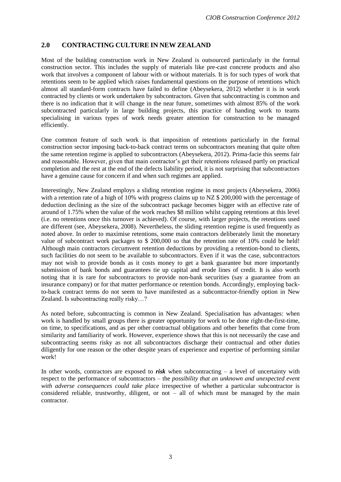## **2.0 CONTRACTING CULTURE IN NEW ZEALAND**

Most of the building construction work in New Zealand is outsourced particularly in the formal construction sector. This includes the supply of materials like pre-cast concrete products and also work that involves a component of labour with or without materials. It is for such types of work that retentions seem to be applied which raises fundamental questions on the purpose of retentions which almost all standard-form contracts have failed to define (Abeysekera, 2012) whether it is in work contracted by clients or work undertaken by subcontractors. Given that subcontracting is common and there is no indication that it will change in the near future, sometimes with almost 85% of the work subcontracted particularly in large building projects, this practice of handing work to teams specialising in various types of work needs greater attention for construction to be managed efficiently.

One common feature of such work is that imposition of retentions particularly in the formal construction sector imposing back-to-back contract terms on subcontractors meaning that quite often the same retention regime is applied to subcontractors (Abeysekera, 2012). Prima-facie this seems fair and reasonable. However, given that main contractor's get their retentions released partly on practical completion and the rest at the end of the defects liability period, it is not surprising that subcontractors have a genuine cause for concern if and when such regimes are applied.

Interestingly, New Zealand employs a sliding retention regime in most projects (Abeysekera, 2006) with a retention rate of a high of 10% with progress claims up to NZ \$ 200,000 with the percentage of deduction declining as the size of the subcontract package becomes bigger with an effective rate of around of 1.75% when the value of the work reaches \$8 million whilst capping retentions at this level (i.e. no retentions once this turnover is achieved). Of course, with larger projects, the retentions used are different (see, Abeysekera, 2008). Nevertheless, the sliding retention regime is used frequently as noted above. In order to maximise retentions, some main contractors deliberately limit the monetary value of subcontract work packages to \$ 200,000 so that the retention rate of 10% could be held! Although main contractors circumvent retention deductions by providing a retention-bond to clients, such facilities do not seem to be available to subcontractors. Even if it was the case, subcontractors may not wish to provide bonds as it costs money to get a bank guarantee but more importantly submission of bank bonds and guarantees tie up capital and erode lines of credit. It is also worth noting that it is rare for subcontractors to provide non-bank securities (say a guarantee from an insurance company) or for that matter performance or retention bonds. Accordingly, employing backto-back contract terms do not seem to have manifested as a subcontractor-friendly option in New Zealand. Is subcontracting really risky…?

As noted before, subcontracting is common in New Zealand. Specialisation has advantages: when work is handled by small groups there is greater opportunity for work to be done right-the-first-time, on time, to specifications, and as per other contractual obligations and other benefits that come from similarity and familiarity of work. However, experience shows that this is not necessarily the case and subcontracting seems risky as not all subcontractors discharge their contractual and other duties diligently for one reason or the other despite years of experience and expertise of performing similar work!

In other words, contractors are exposed to  $risk$  when subcontracting – a level of uncertainty with respect to the performance of subcontractors – the *possibility that an unknown and unexpected event with adverse consequences could take place* irrespective of whether a particular subcontractor is considered reliable, trustworthy, diligent, or not – all of which must be managed by the main contractor.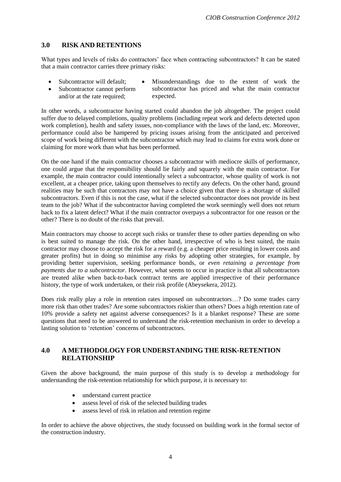## **3.0 RISK AND RETENTIONS**

What types and levels of risks do contractors' face when contracting subcontractors? It can be stated that a main contractor carries three primary risks:

- 
- Subcontractor cannot perform and/or at the rate required;
- Subcontractor will default; Misunderstandings due to the extent of work the subcontractor has priced and what the main contractor expected.

In other words, a subcontractor having started could abandon the job altogether. The project could suffer due to delayed completions, quality problems (including repeat work and defects detected upon work completion), health and safety issues, non-compliance with the laws of the land, etc. Moreover, performance could also be hampered by pricing issues arising from the anticipated and perceived scope of work being different with the subcontractor which may lead to claims for extra work done or claiming for more work than what has been performed.

On the one hand if the main contractor chooses a subcontractor with mediocre skills of performance, one could argue that the responsibility should lie fairly and squarely with the main contractor. For example, the main contractor could intentionally select a subcontractor, whose quality of work is not excellent, at a cheaper price, taking upon themselves to rectify any defects. On the other hand, ground realities may be such that contractors may not have a choice given that there is a shortage of skilled subcontractors. Even if this is not the case, what if the selected subcontractor does not provide its best team to the job? What if the subcontractor having completed the work seemingly well does not return back to fix a latent defect? What if the main contractor overpays a subcontractor for one reason or the other? There is no doubt of the risks that prevail.

Main contractors may choose to accept such risks or transfer these to other parties depending on who is best suited to manage the risk. On the other hand, irrespective of who is best suited, the main contractor may choose to accept the risk for a reward (e.g. a cheaper price resulting in lower costs and greater profits) but in doing so minimise any risks by adopting other strategies, for example, by providing better supervision, seeking performance bonds, or *even retaining a percentage from payments due to a subcontractor*. However, what seems to occur in practice is that all subcontractors are treated alike when back-to-back contract terms are applied irrespective of their performance history, the type of work undertaken, or their risk profile (Abeysekera, 2012).

Does risk really play a role in retention rates imposed on subcontractors…? Do some trades carry more risk than other trades? Are some subcontractors riskier than others? Does a high retention rate of 10% provide a safety net against adverse consequences? Is it a blanket response? These are some questions that need to be answered to understand the risk-retention mechanism in order to develop a lasting solution to 'retention' concerns of subcontractors.

### **4.0 A METHODOLOGY FOR UNDERSTANDING THE RISK-RETENTION RELATIONSHIP**

Given the above background, the main purpose of this study is to develop a methodology for understanding the risk-retention relationship for which purpose, it is necessary to:

- understand current practice
- assess level of risk of the selected building trades
- assess level of risk in relation and retention regime

In order to achieve the above objectives, the study focussed on building work in the formal sector of the construction industry.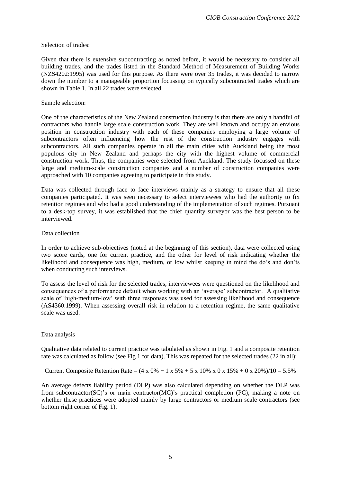#### Selection of trades:

Given that there is extensive subcontracting as noted before, it would be necessary to consider all building trades, and the trades listed in the Standard Method of Measurement of Building Works (NZS4202:1995) was used for this purpose. As there were over 35 trades, it was decided to narrow down the number to a manageable proportion focussing on typically subcontracted trades which are shown in Table 1. In all 22 trades were selected.

#### Sample selection:

One of the characteristics of the New Zealand construction industry is that there are only a handful of contractors who handle large scale construction work. They are well known and occupy an envious position in construction industry with each of these companies employing a large volume of subcontractors often influencing how the rest of the construction industry engages with subcontractors. All such companies operate in all the main cities with Auckland being the most populous city in New Zealand and perhaps the city with the highest volume of commercial construction work. Thus, the companies were selected from Auckland. The study focussed on these large and medium-scale construction companies and a number of construction companies were approached with 10 companies agreeing to participate in this study.

Data was collected through face to face interviews mainly as a strategy to ensure that all these companies participated. It was seen necessary to select interviewees who had the authority to fix retention regimes and who had a good understanding of the implementation of such regimes. Pursuant to a desk-top survey, it was established that the chief quantity surveyor was the best person to be interviewed.

#### Data collection

In order to achieve sub-objectives (noted at the beginning of this section), data were collected using two score cards, one for current practice, and the other for level of risk indicating whether the likelihood and consequence was high, medium, or low whilst keeping in mind the do's and don'ts when conducting such interviews.

To assess the level of risk for the selected trades, interviewees were questioned on the likelihood and consequences of a performance default when working with an 'average' subcontractor. A qualitative scale of 'high-medium-low' with three responses was used for assessing likelihood and consequence (AS4360:1999). When assessing overall risk in relation to a retention regime, the same qualitative scale was used.

#### Data analysis

Qualitative data related to current practice was tabulated as shown in Fig. 1 and a composite retention rate was calculated as follow (see Fig 1 for data). This was repeated for the selected trades (22 in all):

Current Composite Retention Rate =  $(4 \times 0\% + 1 \times 5\% + 5 \times 10\% \times 0 \times 15\% + 0 \times 20\%)/10 = 5.5\%$ 

An average defects liability period (DLP) was also calculated depending on whether the DLP was from subcontractor(SC)'s or main contractor(MC)'s practical completion (PC), making a note on whether these practices were adopted mainly by large contractors or medium scale contractors (see bottom right corner of Fig. 1).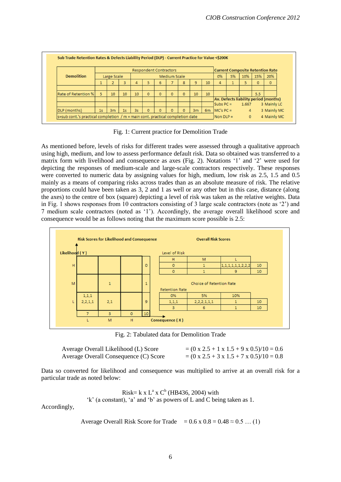|                            | <b>Current Composite Retention Rate</b><br><b>Respondent Contractors</b> |                |                |                |          |              |                     |          |                |                 |             |    |       |          |                                       |
|----------------------------|--------------------------------------------------------------------------|----------------|----------------|----------------|----------|--------------|---------------------|----------|----------------|-----------------|-------------|----|-------|----------|---------------------------------------|
| <b>Demolition</b>          |                                                                          | Large Scale    |                |                |          |              | <b>Medium Scale</b> |          |                |                 | 0%          | 5% | 10%   | 15%      | 20%                                   |
|                            |                                                                          |                | 3              | 4              |          | 6            |                     | 8        |                | 10              | 4           |    | 5.    | $\bf{0}$ | $\mathbf{0}$                          |
|                            |                                                                          |                |                |                |          |              |                     |          |                |                 |             |    |       |          |                                       |
| <b>Rate of Retention %</b> | 5                                                                        | 10             | 10             | 10             | $\bf{0}$ | $\mathbf{0}$ | $\mathbf{0}$        | $\Omega$ | 10             | 10 <sup>°</sup> |             |    |       | 5.5      |                                       |
|                            |                                                                          |                |                |                |          |              |                     |          |                |                 |             |    |       |          | Av. Defects liability period (months) |
|                            |                                                                          |                |                |                |          |              |                     |          |                |                 | $Subs PC =$ |    | 1.667 |          | 3 Mainly LC                           |
| <b>DLP</b> (months)        | 1s                                                                       | 3 <sub>m</sub> | 1 <sub>s</sub> | 3 <sub>S</sub> |          |              | $\mathbf{0}$        | $\Omega$ | 3 <sub>m</sub> | 6m              | $MC's PC =$ |    | 4     |          | 3 Mainly MC                           |

Fig. 1: Current practice for Demolition Trade

As mentioned before, levels of risks for different trades were assessed through a qualitative approach using high, medium, and low to assess performance default risk. Data so obtained was transferred to a matrix form with livelihood and consequence as axes (Fig. 2). Notations '1' and '2' were used for depicting the responses of medium-scale and large-scale contractors respectively. These responses were converted to numeric data by assigning values for high, medium, low risk as 2.5, 1.5 and 0.5 mainly as a means of comparing risks across trades than as an absolute measure of risk. The relative proportions could have been taken as 3, 2 and 1 as well or any other but in this case, distance (along the axes) to the centre of box (square) depicting a level of risk was taken as the relative weights. Data in Fig. 1 shows responses from 10 contractors consisting of 3 large scale contractors (note as '2') and 7 medium scale contractors (noted as '1'). Accordingly, the average overall likelihood score and consequence would be as follows noting that the maximum score possible is 2.5:



Fig. 2: Tabulated data for Demolition Trade

| Average Overall Likelihood (L) Score  |  |  |
|---------------------------------------|--|--|
| Average Overall Consequence (C) Score |  |  |

 $A = (0 \times 2.5 + 1 \times 1.5 + 9 \times 0.5)/10 = 0.6$  $A = (0 \times 2.5 + 3 \times 1.5 + 7 \times 0.5)/10 = 0.8$ 

Data so converted for likelihood and consequence was multiplied to arrive at an overall risk for a particular trade as noted below:

Risk= 
$$
k \times L^a \times C^b
$$
 (HB436, 2004) with

'k' (a constant), 'a' and 'b' as powers of L and C being taken as 1.

Accordingly,

Average Overall Risk Score for Trade =  $0.6 \times 0.8 = 0.48 \approx 0.5$  ... (1)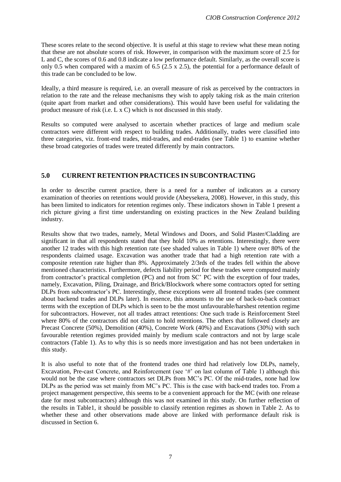These scores relate to the second objective. It is useful at this stage to review what these mean noting that these are not absolute scores of risk. However, in comparison with the maximum score of 2.5 for L and C, the scores of 0.6 and 0.8 indicate a low performance default. Similarly, as the overall score is only 0.5 when compared with a maxim of 6.5 ( $2.5 \times 2.5$ ), the potential for a performance default of this trade can be concluded to be low.

Ideally, a third measure is required, i.e. an overall measure of risk as perceived by the contractors in relation to the rate and the release mechanisms they wish to apply taking risk as the main criterion (quite apart from market and other considerations). This would have been useful for validating the product measure of risk (i.e. L x C) which is not discussed in this study.

Results so computed were analysed to ascertain whether practices of large and medium scale contractors were different with respect to building trades. Additionally, trades were classified into three categories, viz. front-end trades, mid-trades, and end-trades (see Table 1) to examine whether these broad categories of trades were treated differently by main contractors.

### **5.0 CURRENT RETENTION PRACTICES IN SUBCONTRACTING**

In order to describe current practice, there is a need for a number of indicators as a cursory examination of theories on retentions would provide (Abeysekera, 2008). However, in this study, this has been limited to indicators for retention regimes only. These indicators shown in Table 1 present a rich picture giving a first time understanding on existing practices in the New Zealand building industry.

Results show that two trades, namely, Metal Windows and Doors, and Solid Plaster/Cladding are significant in that all respondents stated that they hold 10% as retentions. Interestingly, there were another 12 trades with this high retention rate (see shaded values in Table 1) where over 80% of the respondents claimed usage. Excavation was another trade that had a high retention rate with a composite retention rate higher than 8%. Approximately 2/3rds of the trades fell within the above mentioned characteristics. Furthermore, defects liability period for these trades were computed mainly from contractor's practical completion (PC) and not from SC' PC with the exception of four trades, namely, Excavation, Piling, Drainage, and Brick/Blockwork where some contractors opted for setting DLPs from subcontractor's PC. Interestingly, these exceptions were all frontend trades (see comment about backend trades and DLPs later). In essence, this amounts to the use of back-to-back contract terms with the exception of DLPs which is seen to be the most unfavourable/harshest retention regime for subcontractors. However, not all trades attract retentions: One such trade is Reinforcement Steel where 80% of the contractors did not claim to hold retentions. The others that followed closely are Precast Concrete (50%), Demolition (40%), Concrete Work (40%) and Excavations (30%) with such favourable retention regimes provided mainly by medium scale contractors and not by large scale contractors (Table 1). As to why this is so needs more investigation and has not been undertaken in this study.

It is also useful to note that of the frontend trades one third had relatively low DLPs, namely, Excavation, Pre-cast Concrete, and Reinforcement (see '#' on last column of Table 1) although this would not be the case where contractors set DLPs from MC's PC. Of the mid-trades, none had low DLPs as the period was set mainly from MC's PC. This is the case with back-end trades too. From a project management perspective, this seems to be a convenient approach for the MC (with one release date for most subcontractors) although this was not examined in this study. On further reflection of the results in Table1, it should be possible to classify retention regimes as shown in Table 2. As to whether these and other observations made above are linked with performance default risk is discussed in Section 6.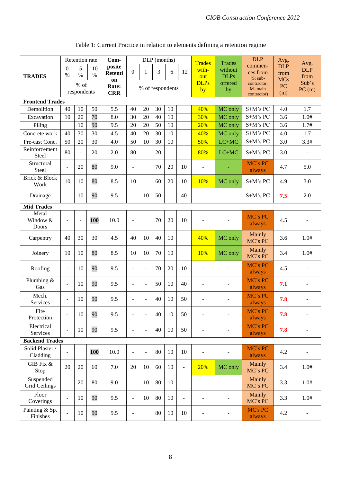|                                   | Retention rate           |                          |      | Com-           | DLP (months)             |                          |    |        |                          | <b>Trades</b>            | Trades                   | <b>DLP</b>             | Avg.               | Avg.                     |
|-----------------------------------|--------------------------|--------------------------|------|----------------|--------------------------|--------------------------|----|--------|--------------------------|--------------------------|--------------------------|------------------------|--------------------|--------------------------|
|                                   | $\theta$                 | 5                        | 10   | posite         | $\overline{0}$           | 1                        | 3  | 6      | 12                       | with-                    | without                  | commen-                | <b>DLP</b>         | <b>DLP</b>               |
| <b>TRADES</b>                     | $\%$                     | $\%$                     | $\%$ | <b>Retenti</b> |                          |                          |    |        |                          | out                      | <b>DLPs</b>              | ces from<br>$(S: sub-$ | from<br><b>MCs</b> | from                     |
|                                   |                          | % of                     |      | on<br>Rate:    |                          |                          |    |        |                          | <b>DLPs</b>              | offered                  | contractor;            | PC                 | Sub's                    |
|                                   |                          | respondents              |      | <b>CRR</b>     |                          | % of respondents         |    |        |                          | by                       | by                       | M-main<br>contractor)  | (m)                | PC(m)                    |
| <b>Frontend Trades</b>            |                          |                          |      |                |                          |                          |    |        |                          |                          |                          |                        |                    |                          |
| Demolition                        | 40                       | 10                       | 50   | 5.5            | 40                       | 20                       | 30 | 10     |                          | 40%                      | MC only                  | S+M's PC               | 4.0                | 1.7                      |
| Excavation                        | 10                       | 20                       | 70   | 8.0            | 30                       | 20                       | 40 | 10     |                          | 30%                      | MC only                  | S+M's PC               | 3.6                | 1.0#                     |
| Piling                            |                          | 10                       | 90   | 9.5            | 20                       | 20                       | 50 | 10     |                          | 20%                      | MC only                  | S+M's PC               | 3.6                | 1.7#                     |
| Concrete work                     | 40                       | 30                       | 30   | 4.5            | 40                       | 20                       | 30 | 10     |                          | 40%                      | MC only                  | $S+M's PC$             | 4.0                | 1.7                      |
| Pre-cast Conc.                    | 50                       | 20                       | 30   | 4.0            | 50                       | 10                       | 30 | 10     |                          | 50%                      | $LC+MC$                  | S+M's PC               | 3.0                | 3.3#                     |
| Reinforcement<br><b>Steel</b>     | 80                       | $\overline{\phantom{a}}$ | 20   | 2.0            | 80                       |                          | 20 |        |                          | 80%                      | $LC+MC$                  | $S+M's PC$             | 3.0                |                          |
| Structural<br>Steel               |                          | 20                       | 80   | 9.0            | $\overline{a}$           |                          | 70 | 20     | 10                       | $\overline{a}$           |                          | MC's PC<br>always      | 4.7                | 5.0                      |
| Brick & Block<br>Work             | 10                       | 10                       | 80   | 8.5            | 10                       |                          | 60 | 20     | 10                       | 10%                      | MC only                  | S+M's PC               | 4.9                | 3.0                      |
| Drainage                          | $\blacksquare$           | 10                       | 90   | 9.5            |                          | 10                       | 50 |        | 40                       | $\overline{a}$           |                          | S+M's PC               | 7.5                | 2.0                      |
| <b>Mid Trades</b>                 |                          |                          |      |                |                          |                          |    |        |                          |                          |                          |                        |                    |                          |
| Metal<br>Window &<br>Doors        |                          | $\overline{\phantom{a}}$ | 100  | 10.0           | $\overline{a}$           |                          | 70 | 20     | 10                       |                          |                          | MC's PC<br>always      | 4.5                |                          |
| Carpentry                         | 40                       | 30                       | 30   | 4.5            | 40                       | 10                       | 40 | 10     |                          | 40%                      | MC only                  | Mainly<br>MC's PC      | 3.6                | 1.0#                     |
| Joinery                           | 10                       | 10                       | 80   | 8.5            | 10                       | 10                       | 70 | 10     |                          | 10%                      | MC only                  | Mainly<br>MC's PC      | 3.4                | 1.0#                     |
| Roofing                           | $\blacksquare$           | 10                       | 90   | 9.5            | $\overline{\phantom{a}}$ | $\blacksquare$           | 70 | 20     | 10                       | $\overline{\phantom{0}}$ |                          | MC's PC<br>always      | 4.5                |                          |
| Plumbing &<br>Gas                 |                          | 10                       | 90   | 9.5            | $\blacksquare$           | $\overline{\phantom{a}}$ | 50 | 10     | 40                       | $\overline{a}$           |                          | MC's PC<br>always      | 7.1                |                          |
| Mech.<br><b>Services</b>          | $\blacksquare$           | 10                       | 90   | 9.5            | $\overline{\phantom{a}}$ | $\overline{\phantom{a}}$ | 40 | 10     | 50                       | $\overline{\phantom{0}}$ |                          | MC's PC<br>always      | 7.8                |                          |
| Fire<br>Protection                |                          | 10                       | 90   | 9.5            | $\overline{a}$           | $\overline{a}$           | 40 | 10     | 50                       | $\overline{\phantom{0}}$ | $\overline{\phantom{a}}$ | MC's PC<br>always      | 7.8                | $\overline{\phantom{a}}$ |
| Electrical<br>Services            | $\overline{a}$           | 10                       | 90   | 9.5            | $\overline{\phantom{a}}$ | $\blacksquare$           | 40 | 10     | 50                       | $\overline{a}$           |                          | MC's PC<br>always      | 7.8                |                          |
| <b>Backend Trades</b>             |                          |                          |      |                |                          |                          |    |        |                          |                          |                          |                        |                    |                          |
| Solid Plaster /<br>Cladding       |                          |                          | 100  | 10.0           | ÷,                       | $\overline{a}$           | 80 | $10\,$ | 10                       | $\overline{a}$           |                          | MC's PC<br>always      | 4.2                |                          |
| GIB Fix &<br>Stop                 | 20                       | 20                       | 60   | 7.0            | 20                       | 10                       | 60 | 10     | $\overline{\phantom{a}}$ | 20%                      | MC only                  | Mainly<br>MC's PC      | 3.4                | 1.0#                     |
| Suspended<br><b>Grid Ceilings</b> | $\overline{\phantom{a}}$ | 20                       | 80   | 9.0            | $\overline{a}$           | 10                       | 80 | 10     | $\sim$                   | $\overline{\phantom{0}}$ |                          | Mainly<br>MC's PC      | 3.3                | 1.0#                     |
| Floor<br>Coverings                | $\blacksquare$           | 10                       | 90   | 9.5            | $\blacksquare$           | 10                       | 80 | 10     | $\overline{\phantom{a}}$ | $\overline{a}$           |                          | Mainly<br>MC's PC      | 3.3                | 1.0#                     |
| Painting & Sp.<br>Finishes        |                          | $10\,$                   | 90   | 9.5            | $\qquad \qquad -$        |                          | 80 | 10     | $10\,$                   | $\overline{a}$           |                          | MC's PC<br>always      | 4.2                |                          |

# Table 1: Current Practice in relation to elements defining a retention regime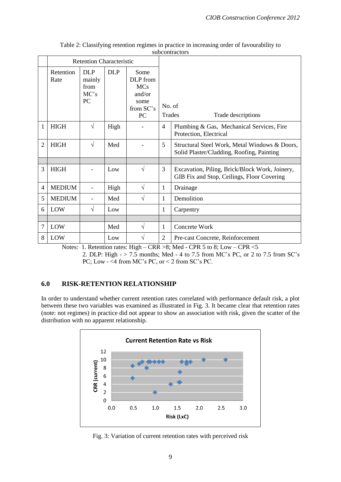|                |                   | <b>Retention Characteristic</b>            |            |                                                                     |                  |                                                                                              |
|----------------|-------------------|--------------------------------------------|------------|---------------------------------------------------------------------|------------------|----------------------------------------------------------------------------------------------|
|                | Retention<br>Rate | <b>DLP</b><br>mainly<br>from<br>MC's<br>PC | <b>DLP</b> | Some<br>DLP from<br><b>MCs</b><br>and/or<br>some<br>from SC's<br>PC | No. of<br>Trades | Trade descriptions                                                                           |
| 1              | <b>HIGH</b>       | $\sqrt{}$                                  | High       |                                                                     | $\overline{4}$   | Plumbing & Gas, Mechanical Services, Fire<br>Protection, Electrical                          |
| $\overline{c}$ | <b>HIGH</b>       | $\sqrt{ }$                                 | Med        |                                                                     | 5                | Structural Steel Work, Metal Windows & Doors,<br>Solid Plaster/Cladding, Roofing, Painting   |
|                |                   |                                            |            |                                                                     |                  |                                                                                              |
| 3              | <b>HIGH</b>       |                                            | Low        | $\sqrt{ }$                                                          | 3                | Excavation, Piling, Brick/Block Work, Joinery,<br>GIB Fix and Stop, Ceilings, Floor Covering |
| $\overline{4}$ | <b>MEDIUM</b>     |                                            | High       | $\sqrt{}$                                                           | $\mathbf{1}$     | Drainage                                                                                     |
| 5              | <b>MEDIUM</b>     | $\overline{\phantom{a}}$                   | Med        | $\sqrt{ }$                                                          | $\mathbf{1}$     | Demolition                                                                                   |
| 6              | LOW               | $\sqrt{}$                                  | Low        |                                                                     | 1                | Carpentry                                                                                    |
|                |                   |                                            |            |                                                                     |                  |                                                                                              |
| 7              | LOW               |                                            | Med        | $\sqrt{}$                                                           | 1                | Concrete Work                                                                                |
| 8              | LOW               | $\sim$ $\sim$                              | Low        | V<br>.<br>$\sim$ $\sim$                                             | $\overline{2}$   | Pre-cast Concrete, Reinforcement<br>$\sim$ $\sim$ $\sim$ $\sim$                              |

| Table 2: Classifying retention regimes in practice in increasing order of favourability to |
|--------------------------------------------------------------------------------------------|
| subcontractors                                                                             |

Notes: 1. Retention rates: High – CRR >8; Med - CPR 5 to 8; Low – CPR <5

2. DLP: High - > 7.5 months; Med - 4 to 7.5 from MC's PC, or 2 to 7.5 from SC's PC; Low - <4 from MC's PC, or < 2 from SC's PC.

## **6.0 RISK-RETENTION RELATIONSHIP**

In order to understand whether current retention rates correlated with performance default risk, a plot between these two variables was examined as illustrated in Fig. 3. It became clear that retention rates (note: not regimes) in practice did not appear to show an association with risk, given the scatter of the distribution with no apparent relationship.



Fig. 3: Variation of current retention rates with perceived risk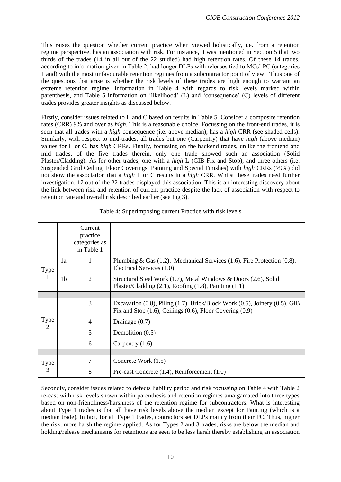This raises the question whether current practice when viewed holistically, i.e. from a retention regime perspective, has an association with risk. For instance, it was mentioned in Section 5 that two thirds of the trades (14 in all out of the 22 studied) had high retention rates. Of these 14 trades, according to information given in Table 2, had longer DLPs with releases tied to MCs' PC (categories 1 and) with the most unfavourable retention regimes from a subcontractor point of view. Thus one of the questions that arise is whether the risk levels of these trades are high enough to warrant an extreme retention regime. Information in Table 4 with regards to risk levels marked within parenthesis, and Table 5 information on 'likelihood' (L) and 'consequence' (C) levels of different trades provides greater insights as discussed below.

Firstly, consider issues related to L and C based on results in Table 5. Consider a composite retention rates (CRR) 9% and over as *high*. This is a reasonable choice. Focussing on the front-end trades, it is seen that all trades with a *high* consequence (i.e. above median), has a *high* CRR (see shaded cells). Similarly, with respect to mid-trades, all trades but one (Carpentry) that have *high* (above median) values for L or C, has *high* CRRs. Finally, focussing on the backend trades, unlike the frontend and mid trades, of the five trades therein, only one trade showed such an association (Solid Plaster/Cladding). As for other trades, one with a *high* L (GIB Fix and Stop), and three others (i.e. Suspended Grid Ceiling, Floor Coverings, Painting and Special Finishes) with *high* CRRs (>9%) did not show the association that a *high* L or C results in a *high* CRR. Whilst these trades need further investigation, 17 out of the 22 trades displayed this association. This is an interesting discovery about the link between risk and retention of current practice despite the lack of association with respect to retention rate and overall risk described earlier (see Fig 3).

|                    |    | Current<br>practice<br>categories as<br>in Table 1 |                                                                                                                                                            |
|--------------------|----|----------------------------------------------------|------------------------------------------------------------------------------------------------------------------------------------------------------------|
| <b>Type</b>        | 1a | 1                                                  | Plumbing & Gas $(1.2)$ , Mechanical Services $(1.6)$ , Fire Protection $(0.8)$ ,<br>Electrical Services (1.0)                                              |
|                    | 1b | $\overline{2}$                                     | Structural Steel Work (1.7), Metal Windows & Doors (2.6), Solid<br>Plaster/Cladding $(2.1)$ , Roofing $(1.8)$ , Painting $(1.1)$                           |
|                    |    |                                                    |                                                                                                                                                            |
| Type $\frac{1}{2}$ |    | 3                                                  | Excavation $(0.8)$ , Piling $(1.7)$ , Brick/Block Work $(0.5)$ , Joinery $(0.5)$ , GIB<br>Fix and Stop $(1.6)$ , Ceilings $(0.6)$ , Floor Covering $(0.9)$ |
|                    |    | $\overline{4}$                                     | Drainage $(0.7)$                                                                                                                                           |
|                    |    | 5                                                  | Demolition (0.5)                                                                                                                                           |
|                    |    | 6                                                  | Carpentry $(1.6)$                                                                                                                                          |
|                    |    |                                                    |                                                                                                                                                            |
| Type               |    | $\overline{7}$                                     | Concrete Work (1.5)                                                                                                                                        |
| 3                  |    | 8                                                  | Pre-cast Concrete $(1.4)$ , Reinforcement $(1.0)$                                                                                                          |

Table 4: Superimposing current Practice with risk levels

Secondly, consider issues related to defects liability period and risk focussing on Table 4 with Table 2 re-cast with risk levels shown within parenthesis and retention regimes amalgamated into three types based on non-friendliness/harshness of the retention regime for subcontractors. What is interesting about Type 1 trades is that all have risk levels above the median except for Painting (which is a median trade). In fact, for all Type 1 trades, contractors set DLPs mainly from their PC. Thus, higher the risk, more harsh the regime applied. As for Types 2 and 3 trades, risks are below the median and holding/release mechanisms for retentions are seen to be less harsh thereby establishing an association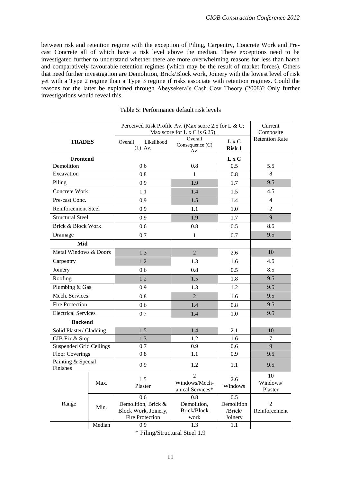between risk and retention regime with the exception of Piling, Carpentry, Concrete Work and Precast Concrete all of which have a risk level above the median. These exceptions need to be investigated further to understand whether there are more overwhelming reasons for less than harsh and comparatively favourable retention regimes (which may be the result of market forces). Others that need further investigation are Demolition, Brick/Block work, Joinery with the lowest level of risk yet with a Type 2 regime than a Type 3 regime if risks associate with retention regimes. Could the reasons for the latter be explained through Abeysekera's Cash Cow Theory (2008)? Only further investigations would reveal this.

|                                |        | Perceived Risk Profile Av. (Max score 2.5 for L & C;<br>Max score for L $x \, C$ is 6.25) | Current<br>Composite                                  |                                         |                           |
|--------------------------------|--------|-------------------------------------------------------------------------------------------|-------------------------------------------------------|-----------------------------------------|---------------------------|
| <b>TRADES</b>                  |        | Likelihood<br>Overall<br>$(L)$ Av.                                                        | Overall<br>Consequence (C)<br>Av.                     | L x C<br><b>Risk 1</b>                  | <b>Retention Rate</b>     |
| <b>Frontend</b>                |        |                                                                                           |                                                       | $L \times C$                            |                           |
| Demolition                     |        | 0.6                                                                                       | 0.8                                                   | 0.5                                     | 5.5                       |
| Excavation                     |        | 0.8                                                                                       | $\mathbf{1}$                                          | 0.8                                     | 8                         |
| Piling                         |        | 0.9                                                                                       | 1.9                                                   | 1.7                                     | 9.5                       |
| Concrete Work                  |        | 1.1                                                                                       | 1.4                                                   | 1.5                                     | 4.5                       |
| Pre-cast Conc.                 |        | 0.9                                                                                       | 1.5                                                   | 1.4                                     | $\overline{4}$            |
| <b>Reinforcement Steel</b>     |        | 0.9                                                                                       | 1.1                                                   | 1.0                                     | $\overline{2}$            |
| <b>Structural Steel</b>        |        | 0.9                                                                                       | 1.9                                                   | 1.7                                     | 9                         |
| <b>Brick &amp; Block Work</b>  |        | 0.6                                                                                       | 0.8                                                   | 0.5                                     | 8.5                       |
| Drainage                       |        | 0.7                                                                                       | $\mathbf{1}$                                          | 0.7                                     | 9.5                       |
| Mid                            |        |                                                                                           |                                                       |                                         |                           |
| Metal Windows & Doors          |        | 1.3                                                                                       | $\overline{2}$                                        | 2.6                                     | 10                        |
| Carpentry                      |        | 1.2                                                                                       | 1.3                                                   | 1.6                                     | 4.5                       |
| Joinery                        |        | 0.6                                                                                       | 0.8                                                   | 0.5                                     | 8.5                       |
| Roofing                        |        | 1.2                                                                                       | 1.5                                                   | 1.8                                     | 9.5                       |
| Plumbing & Gas                 |        | 0.9                                                                                       | 1.3                                                   | 1.2                                     | 9.5                       |
| Mech. Services                 |        | 0.8                                                                                       | $\overline{2}$                                        | 1.6                                     | 9.5                       |
| <b>Fire Protection</b>         |        | 0.6                                                                                       | 1.4                                                   | 0.8                                     | 9.5                       |
| <b>Electrical Services</b>     |        | 0.7                                                                                       | 1.4                                                   | 1.0                                     | 9.5                       |
| <b>Backend</b>                 |        |                                                                                           |                                                       |                                         |                           |
| Solid Plaster/ Cladding        |        | 1.5                                                                                       | 1.4                                                   | 2.1                                     | 10                        |
| GIB Fix & Stop                 |        | 1.3                                                                                       | 1.2                                                   | 1.6                                     | 7                         |
| <b>Suspended Grid Ceilings</b> |        | 0.7                                                                                       | 0.9                                                   | 0.6                                     | 9                         |
| <b>Floor Coverings</b>         |        | 0.8                                                                                       | 1.1                                                   | 0.9                                     | 9.5                       |
| Painting & Special<br>Finishes |        | 0.9                                                                                       | 1.2                                                   | 1.1                                     | 9.5                       |
|                                | Max.   | 1.5<br>Plaster                                                                            | $\boldsymbol{2}$<br>Windows/Mech-<br>anical Services* | 2.6<br>Windows                          | 10<br>Windows/<br>Plaster |
| Range                          | Min.   | 0.6<br>Demolition, Brick &<br>Block Work, Joinery,<br>Fire Protection                     | 0.8<br>Demolition,<br>Brick/Block<br>work             | 0.5<br>Demolition<br>/Brick/<br>Joinery | 2<br>Reinforcement        |
|                                | Median | 0.9                                                                                       | 1.3                                                   | 1.1                                     |                           |

\* Piling/Structural Steel 1.9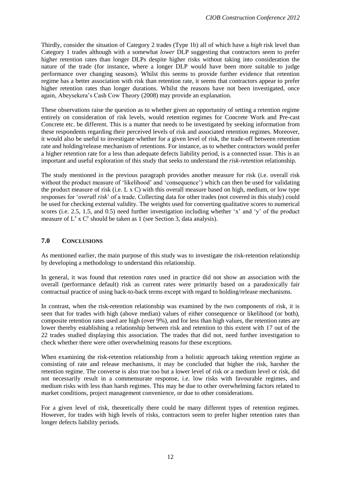Thirdly, consider the situation of Category 2 trades (Type 1b) all of which have a *high* risk level than Category 1 trades although with a somewhat *lower* DLP suggesting that contractors seem to prefer higher retention rates than longer DLPs despite higher risks without taking into consideration the nature of the trade (for instance, where a longer DLP would have been more suitable to judge performance over changing seasons). Whilst this seems to provide further evidence that retention regime has a better association with risk than retention rate, it seems that contractors appear to prefer higher retention rates than longer durations. Whilst the reasons have not been investigated, once again, Abeysekera's Cash Cow Theory (2008) may provide an explanation.

These observations raise the question as to whether given an opportunity of setting a retention regime entirely on consideration of risk levels, would retention regimes for Concrete Work and Pre-cast Concrete etc. be different. This is a matter that needs to be investigated by seeking information from these respondents regarding their perceived levels of risk and associated retention regimes. Moreover, it would also be useful to investigate whether for a given level of risk, the trade-off between retention rate and holding/release mechanism of retentions. For instance, as to whether contractors would prefer a higher retention rate for a less than adequate defects liability period, is a connected issue. This is an important and useful exploration of this study that seeks to understand the *risk-retention* relationship.

The study mentioned in the previous paragraph provides another measure for risk (i.e. overall risk without the product measure of 'likelihood' and 'consequence') which can then be used for validating the product measure of risk (i.e. L x C) with this overall measure based on high, medium, or low type responses for '*overall risk*' of a trade. Collecting data for other trades (not covered in this study) could be used for checking external validity. The weights used for converting qualitative scores to numerical scores (i.e. 2.5, 1.5, and 0.5) need further investigation including whether 'x' and 'y' of the product measure of  $L^x$  x  $C^y$  should be taken as 1 (see Section 3, data analysis).

## **7.0 CONCLUSIONS**

As mentioned earlier, the main purpose of this study was to investigate the risk-retention relationship by developing a methodology to understand this relationship.

In general, it was found that retention *rates* used in practice did not show an association with the overall (performance default) risk as current rates were primarily based on a paradoxically fair contractual practice of using back-to-back terms except with regard to holding/release mechanisms.

In contrast, when the risk-retention relationship was examined by the two components of risk, it is seen that for trades with high (above median) values of either consequence or likelihood (or both), composite retention rates used are high (over 9%), and for less than high values, the retention rates are lower thereby establishing a relationship between risk and retention to this extent with 17 out of the 22 trades studied displaying this association. The trades that did not, need further investigation to check whether there were other overwhelming reasons for these exceptions.

When examining the risk-retention relationship from a holistic approach taking retention regime as consisting of rate and release mechanisms, it may be concluded that higher the risk, harsher the retention regime. The converse is also true too but a lower level of risk or a medium level or risk, did not necessarily result in a commensurate response, i.e. low risks with favourable regimes, and medium risks with less than harsh regimes. This may be due to other overwhelming factors related to market conditions, project management convenience, or due to other considerations.

For a given level of risk, theoretically there could be many different types of retention regimes. However, for trades with high levels of risks, contractors seem to prefer higher retention rates than longer defects liability periods.